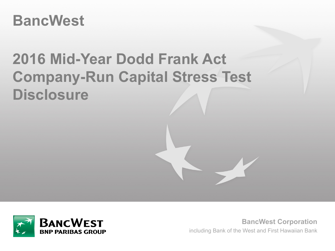## **BancWest**

# **2016 Mid-Year Dodd Frank Act Company-Run Capital Stress Test Disclosure**



**BancWest Corporation** including Bank of the West and First Hawaiian Bank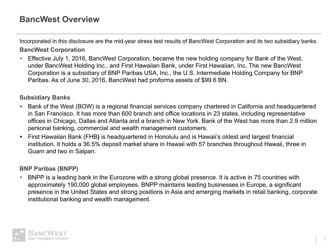## **BancWest Overview**

Incorporated in this disclosure are the mid-year stress test results of BancWest Corporation and its two subsidiary banks. **BancWest Corporation**

• Effective July 1, 2016, BancWest Corporation, became the new holding company for Bank of the West, under BancWest Holding Inc., and First Hawaiian Bank, under First Hawaiian, Inc. The new BancWest Corporation is a subsidiary of BNP Paribas USA, Inc., the U.S. Intermediate Holding Company for BNP Paribas. As of June 30, 2016, BancWest had proforma assets of \$99.6 BN.

#### **Subsidiary Banks**

- **•** Bank of the West (BOW) is a regional financial services company chartered in California and headquartered in San Francisco. It has more than 600 branch and office locations in 23 states, including representative offices in Chicago, Dallas and Atlanta and a branch in New York. Bank of the West has more than 2.9 million personal banking, commercial and wealth management customers.
- **•** First Hawaiian Bank (FHB**)** is headquartered in Honolulu and is Hawaii's oldest and largest financial institution. It holds a 36.5% deposit market share in Hawaii with 57 branches throughout Hawaii, three in Guam and two in Saipan.

#### **BNP Paribas (BNPP)**

• BNPP is a leading bank in the Eurozone with a strong global presence. It is active in 75 countries with approximately 190,000 global employees. BNPP maintains leading businesses in Europe, a significant presence in the United States and strong positions in Asia and emerging markets in retail banking, corporate institutional banking and wealth management.

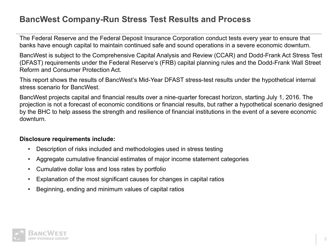## **BancWest Company-Run Stress Test Results and Process**

The Federal Reserve and the Federal Deposit Insurance Corporation conduct tests every year to ensure that banks have enough capital to maintain continued safe and sound operations in a severe economic downturn.

BancWest is subject to the Comprehensive Capital Analysis and Review (CCAR) and Dodd-Frank Act Stress Test (DFAST) requirements under the Federal Reserve's (FRB) capital planning rules and the Dodd-Frank Wall Street Reform and Consumer Protection Act.

This report shows the results of BancWest's Mid-Year DFAST stress-test results under the hypothetical internal stress scenario for BancWest.

BancWest projects capital and financial results over a nine-quarter forecast horizon, starting July 1, 2016. The projection is not a forecast of economic conditions or financial results, but rather a hypothetical scenario designed by the BHC to help assess the strength and resilience of financial institutions in the event of a severe economic downturn.

#### **Disclosure requirements include:**

- Description of risks included and methodologies used in stress testing
- Aggregate cumulative financial estimates of major income statement categories
- Cumulative dollar loss and loss rates by portfolio
- Explanation of the most significant causes for changes in capital ratios
- Beginning, ending and minimum values of capital ratios

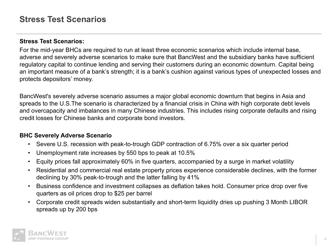### **Stress Test Scenarios**

#### **Stress Test Scenarios:**

For the mid-year BHCs are required to run at least three economic scenarios which include internal base, adverse and severely adverse scenarios to make sure that BancWest and the subsidiary banks have sufficient regulatory capital to continue lending and serving their customers during an economic downturn. Capital being an important measure of a bank's strength; it is a bank's cushion against various types of unexpected losses and protects depositors' money.

BancWest's severely adverse scenario assumes a major global economic downturn that begins in Asia and spreads to the U.S.The scenario is characterized by a financial crisis in China with high corporate debt levels and overcapacity and imbalances in many Chinese industries. This includes rising corporate defaults and rising credit losses for Chinese banks and corporate bond investors.

#### **BHC Severely Adverse Scenario**

- Severe U.S. recession with peak-to-trough GDP contraction of 6.75% over a six quarter period
- Unemployment rate increases by 550 bps to peak at 10.5%
- Equity prices fall approximately 60% in five quarters, accompanied by a surge in market volatility
- Residential and commercial real estate property prices experience considerable declines, with the former declining by 30% peak-to-trough and the latter falling by 41%
- Business confidence and investment collapses as deflation takes hold. Consumer price drop over five quarters as oil prices drop to \$25 per barrel
- Corporate credit spreads widen substantially and short-term liquidity dries up pushing 3 Month LIBOR spreads up by 200 bps

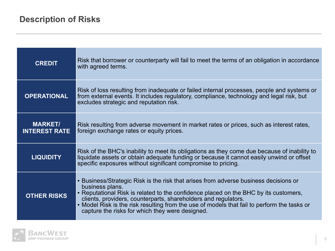| <b>CREDIT</b>                          | Risk that borrower or counterparty will fail to meet the terms of an obligation in accordance<br>with agreed terms.                                                                                                                                                                                                                                                                                                 |
|----------------------------------------|---------------------------------------------------------------------------------------------------------------------------------------------------------------------------------------------------------------------------------------------------------------------------------------------------------------------------------------------------------------------------------------------------------------------|
| <b>OPERATIONAL</b>                     | Risk of loss resulting from inadequate or failed internal processes, people and systems or<br>from external events. It includes regulatory, compliance, technology and legal risk, but<br>excludes strategic and reputation risk.                                                                                                                                                                                   |
| <b>MARKET/</b><br><b>INTEREST RATE</b> | Risk resulting from adverse movement in market rates or prices, such as interest rates,<br>foreign exchange rates or equity prices.                                                                                                                                                                                                                                                                                 |
| <b>LIQUIDITY</b>                       | Risk of the BHC's inability to meet its obligations as they come due because of inability to<br>liquidate assets or obtain adequate funding or because it cannot easily unwind or offset<br>specific exposures without significant compromise to pricing.                                                                                                                                                           |
| <b>OTHER RISKS</b>                     | • Business/Strategic Risk is the risk that arises from adverse business decisions or<br>business plans.<br>• Reputational Risk is related to the confidence placed on the BHC by its customers,<br>clients, providers, counterparts, shareholders and regulators.<br>• Model Risk is the risk resulting from the use of models that fail to perform the tasks or<br>capture the risks for which they were designed. |

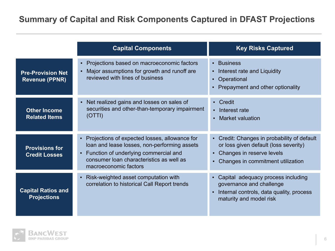## **Summary of Capital and Risk Components Captured in DFAST Projections**

|                                                   | <b>Capital Components</b>                                                                                                                                                                                   | <b>Key Risks Captured</b>                                                                                                                                                                  |
|---------------------------------------------------|-------------------------------------------------------------------------------------------------------------------------------------------------------------------------------------------------------------|--------------------------------------------------------------------------------------------------------------------------------------------------------------------------------------------|
| <b>Pre-Provision Net</b><br><b>Revenue (PPNR)</b> | Projections based on macroeconomic factors<br>$\blacksquare$<br>Major assumptions for growth and runoff are<br>reviewed with lines of business                                                              | • Business<br>Interest rate and Liquidity<br>$\mathbf{H}^{\prime}$<br>• Operational<br>• Prepayment and other optionality                                                                  |
| <b>Other Income</b><br><b>Related Items</b>       | Net realized gains and losses on sales of<br>securities and other-than-temporary impairment<br>(OTTI)                                                                                                       | • Credit<br>Interest rate<br>$\blacksquare$<br><b>Market valuation</b>                                                                                                                     |
| <b>Provisions for</b><br><b>Credit Losses</b>     | Projections of expected losses, allowance for<br>loan and lease losses, non-performing assets<br>Function of underlying commercial and<br>consumer loan characteristics as well as<br>macroeconomic factors | • Credit: Changes in probability of default<br>or loss given default (loss severity)<br>Changes in reserve levels<br>$\blacksquare$<br>Changes in commitment utilization<br>$\blacksquare$ |
| <b>Capital Ratios and</b><br><b>Projections</b>   | Risk-weighted asset computation with<br>$\blacksquare$<br>correlation to historical Call Report trends                                                                                                      | Capital adequacy process including<br>governance and challenge<br>Internal controls, data quality, process<br>maturity and model risk                                                      |

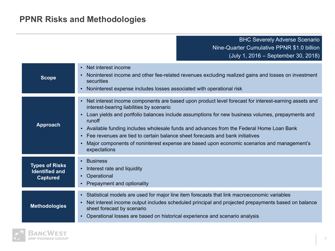## **PPNR Risks and Methodologies**

BHC Severely Adverse Scenario Nine-Quarter Cumulative PPNR \$1.0 billion (July 1, 2016 – September 30, 2018)

| <b>Scope</b>                                                      | • Net interest income<br>Noninterest income and other fee-related revenues excluding realized gains and losses on investment<br>securities<br>Noninterest expense includes losses associated with operational risk<br>п.                                                                                                                                                                                                                                                                                                                                   |
|-------------------------------------------------------------------|------------------------------------------------------------------------------------------------------------------------------------------------------------------------------------------------------------------------------------------------------------------------------------------------------------------------------------------------------------------------------------------------------------------------------------------------------------------------------------------------------------------------------------------------------------|
| <b>Approach</b>                                                   | Net interest income components are based upon product level forecast for interest-earning assets and<br>interest-bearing liabilities by scenario<br>Loan yields and portfolio balances include assumptions for new business volumes, prepayments and<br>runoff<br>- Available funding includes wholesale funds and advances from the Federal Home Loan Bank<br>Fee revenues are tied to certain balance sheet forecasts and bank initiatives<br>Major components of noninterest expense are based upon economic scenarios and management's<br>expectations |
| <b>Types of Risks</b><br><b>Identified and</b><br><b>Captured</b> | <b>Business</b><br>Interest rate and liquidity<br>п.<br>Operational<br>$\mathbf{E} = \mathbf{0}$<br>• Prepayment and optionality                                                                                                                                                                                                                                                                                                                                                                                                                           |
| <b>Methodologies</b>                                              | - Statistical models are used for major line item forecasts that link macroeconomic variables<br>Net interest income output includes scheduled principal and projected prepayments based on balance<br>sheet forecast by scenario<br>Operational losses are based on historical experience and scenario analysis                                                                                                                                                                                                                                           |

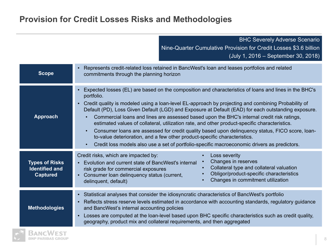## **Provision for Credit Losses Risks and Methodologies**

|                                                                   | <b>BHC Severely Adverse Scenario</b><br>Nine-Quarter Cumulative Provision for Credit Losses \$3.6 billion<br>(July 1, 2016 – September 30, 2018)                                                                                                                                                                                                                                                                                                                                                                                                                                                                                                                                                                                                                                                                   |  |  |
|-------------------------------------------------------------------|--------------------------------------------------------------------------------------------------------------------------------------------------------------------------------------------------------------------------------------------------------------------------------------------------------------------------------------------------------------------------------------------------------------------------------------------------------------------------------------------------------------------------------------------------------------------------------------------------------------------------------------------------------------------------------------------------------------------------------------------------------------------------------------------------------------------|--|--|
| <b>Scope</b>                                                      | Represents credit-related loss retained in BancWest's loan and leases portfolios and related<br>commitments through the planning horizon                                                                                                                                                                                                                                                                                                                                                                                                                                                                                                                                                                                                                                                                           |  |  |
| <b>Approach</b>                                                   | Expected losses (EL) are based on the composition and characteristics of loans and lines in the BHC's<br>portfolio.<br>- Credit quality is modeled using a loan-level EL-approach by projecting and combining Probability of<br>Default (PD), Loss Given Default (LGD) and Exposure at Default (EAD) for each outstanding exposure.<br>Commercial loans and lines are assessed based upon the BHC's internal credit risk ratings,<br>estimated values of collateral, utilization rate, and other product-specific characteristics.<br>Consumer loans are assessed for credit quality based upon delinguency status, FICO score, loan-<br>to-value deterioration, and a few other product-specific characteristics.<br>Credit loss models also use a set of portfolio-specific macroeconomic drivers as predictors. |  |  |
| <b>Types of Risks</b><br><b>Identified and</b><br><b>Captured</b> | Credit risks, which are impacted by:<br>Loss severity<br>Changes in reserves<br>Evolution and current state of BancWest's internal<br>Collateral type and collateral valuation<br>risk grade for commercial exposures<br>Obligor/product-specific characteristics<br>• Consumer loan delinquency status (current,<br>Changes in commitment utilization<br>delinquent, default)                                                                                                                                                                                                                                                                                                                                                                                                                                     |  |  |
| <b>Methodologies</b>                                              | - Statistical analyses that consider the idiosyncratic characteristics of BancWest's portfolio<br>Reflects stress reserve levels estimated in accordance with accounting standards, regulatory guidance<br>and BancWest's internal accounting policies<br>Losses are computed at the loan-level based upon BHC specific characteristics such as credit quality,<br>geography, product mix and collateral requirements, and then aggregated                                                                                                                                                                                                                                                                                                                                                                         |  |  |

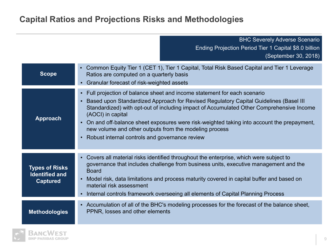## **Capital Ratios and Projections Risks and Methodologies**

BHC Severely Adverse Scenario Ending Projection Period Tier 1 Capital \$8.0 billion (September 30, 2018)

| <b>Scope</b>                                                      | • Common Equity Tier 1 (CET 1), Tier 1 Capital, Total Risk Based Capital and Tier 1 Leverage<br>Ratios are computed on a quarterly basis<br>• Granular forecast of risk-weighted assets                                                                                                                                                                                                                                                                                                             |
|-------------------------------------------------------------------|-----------------------------------------------------------------------------------------------------------------------------------------------------------------------------------------------------------------------------------------------------------------------------------------------------------------------------------------------------------------------------------------------------------------------------------------------------------------------------------------------------|
| <b>Approach</b>                                                   | • Full projection of balance sheet and income statement for each scenario<br>• Based upon Standardized Approach for Revised Regulatory Capital Guidelines (Basel III)<br>Standardized) with opt-out of including impact of Accumulated Other Comprehensive Income<br>(AOCI) in capital<br>• On and off-balance sheet exposures were risk-weighted taking into account the prepayment,<br>new volume and other outputs from the modeling process<br>• Robust internal controls and governance review |
|                                                                   |                                                                                                                                                                                                                                                                                                                                                                                                                                                                                                     |
| <b>Types of Risks</b><br><b>Identified and</b><br><b>Captured</b> | • Covers all material risks identified throughout the enterprise, which were subject to<br>governance that includes challenge from business units, executive management and the<br><b>Board</b><br>Model risk, data limitations and process maturity covered in capital buffer and based on<br>material risk assessment<br>• Internal controls framework overseeing all elements of Capital Planning Process                                                                                        |
|                                                                   |                                                                                                                                                                                                                                                                                                                                                                                                                                                                                                     |
| <b>Methodologies</b>                                              | • Accumulation of all of the BHC's modeling processes for the forecast of the balance sheet,<br>PPNR, losses and other elements                                                                                                                                                                                                                                                                                                                                                                     |

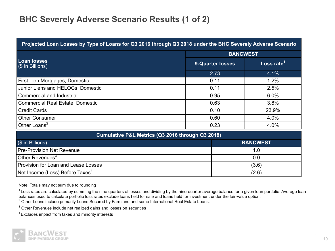## **BHC Severely Adverse Scenario Results (1 of 2)**

| Projected Loan Losses by Type of Loans for Q3 2016 through Q3 2018 under the BHC Severely Adverse Scenario |                         |                        |  |
|------------------------------------------------------------------------------------------------------------|-------------------------|------------------------|--|
|                                                                                                            |                         | <b>BANCWEST</b>        |  |
| <b>Loan losses</b><br>$($ in Billions)$                                                                    | <b>9-Quarter losses</b> | Loss rate <sup>1</sup> |  |
|                                                                                                            | 2.73                    | 4.1%                   |  |
| First Lien Mortgages, Domestic                                                                             | 0.11                    | 1.2%                   |  |
| Junior Liens and HELOCs, Domestic<br>0.11                                                                  |                         | 2.5%                   |  |
| Commercial and Industrial<br>0.95                                                                          |                         | 6.0%                   |  |
| Commercial Real Estate, Domestic                                                                           | 0.63                    | 3.8%                   |  |
| <b>Credit Cards</b><br>0.10                                                                                |                         | 23.9%                  |  |
| Other Consumer                                                                                             | 0.60                    | 4.0%                   |  |
| Other Loans <sup>2</sup><br>0.23                                                                           |                         | 4.0%                   |  |
| Cumulative P&L Metrics (Q3 2016 through Q3 2018)                                                           |                         |                        |  |
| (\$ in Billions)                                                                                           |                         | <b>BANCWEST</b>        |  |
| <b>Pre-Provision Net Revenue</b>                                                                           |                         | 1.0                    |  |
| Other Revenues <sup>3</sup>                                                                                |                         | 0.0                    |  |
| Provision for Loan and Lease Losses                                                                        |                         | (3.6)                  |  |
| Net Income (Loss) Before Taxes <sup>4</sup>                                                                |                         | (2.6)                  |  |

Note: Totals may not sum due to rounding

 $1$  Loss rates are calculated by summing the nine quarters of losses and dividing by the nine-quarter average balance for a given loan portfolio. Average loan balances used to calculate portfolio loss rates exclude loans held for sale and loans held for investment under the fair-value option.

 $^{2}$  Other Loans include primarily Loans Secured by Farmland and some International Real Estate Loans.

 $3$  Other Revenues include net realized gains and losses on securities

<sup>4</sup>Excludes impact from taxes and minority interests

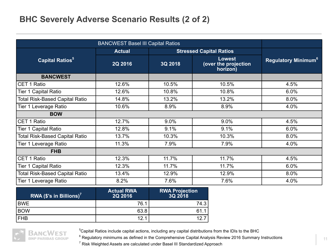## **BHC Severely Adverse Scenario Results (2 of 2)**

|                                       | <b>BANCWEST Basel III Capital Ratios</b> |                                |                                                   |                                       |
|---------------------------------------|------------------------------------------|--------------------------------|---------------------------------------------------|---------------------------------------|
|                                       | <b>Actual</b>                            | <b>Stressed Capital Ratios</b> |                                                   |                                       |
| <b>Capital Ratios</b> <sup>5</sup>    | 2Q 2016                                  | 3Q 2018                        | <b>Lowest</b><br>(over the projection<br>horizon) | <b>Regulatory Minimum<sup>6</sup></b> |
| <b>BANCWEST</b>                       |                                          |                                |                                                   |                                       |
| CET 1 Ratio                           | 12.6%                                    | 10.5%                          | 10.5%                                             | 4.5%                                  |
| <b>Tier 1 Capital Ratio</b>           | 12.6%                                    | 10.8%                          | 10.8%                                             | 6.0%                                  |
| <b>Total Risk-Based Capital Ratio</b> | 14.8%                                    | 13.2%                          | 13.2%                                             | 8.0%                                  |
| Tier 1 Leverage Ratio                 | 10.6%                                    | 8.9%                           | 8.9%                                              | 4.0%                                  |
| <b>BOW</b>                            |                                          |                                |                                                   |                                       |
| CET 1 Ratio                           | 12.7%                                    | 9.0%                           | 9.0%                                              | 4.5%                                  |
| Tier 1 Capital Ratio                  | 12.8%                                    | 9.1%                           | 9.1%                                              | 6.0%                                  |
| <b>Total Risk-Based Capital Ratio</b> | 13.7%                                    | 10.3%                          | 10.3%                                             | 8.0%                                  |
| Tier 1 Leverage Ratio                 | 11.3%                                    | 7.9%                           | 7.9%                                              | 4.0%                                  |
| <b>FHB</b>                            |                                          |                                |                                                   |                                       |
| CET 1 Ratio                           | 12.3%                                    | 11.7%                          | 11.7%                                             | 4.5%                                  |
| <b>Tier 1 Capital Ratio</b>           | 12.3%                                    | 11.7%                          | 11.7%                                             | 6.0%                                  |
| <b>Total Risk-Based Capital Ratio</b> | 13.4%                                    | 12.9%                          | 12.9%                                             | 8.0%                                  |
| Tier 1 Leverage Ratio                 | 8.2%                                     | 7.6%                           | 7.6%                                              | 4.0%                                  |

| RWA (\$'s in Billions) <sup>7</sup> | <b>Actual RWA</b><br>2Q 2016 | <b>RWA Projection</b><br>3Q 2018 |
|-------------------------------------|------------------------------|----------------------------------|
| <b>BWE</b>                          | 76.1                         | 74.3                             |
| <b>BOW</b>                          | 63.8                         | 61 1                             |
| <b>FHB</b>                          | 12.1                         | 1つ フ                             |



<sup>5</sup>Capital Ratios include capital actions, including any capital distributions from the IDIs to the BHC

 $^6$  Regulatory minimums as defined in the Comprehensive Capital Analysis Review 2016 Summary Instructions

<sup>7</sup> Risk Weighted Assets are calculated under Basel III Standardized Approach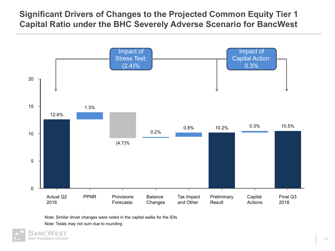## **Significant Drivers of Changes to the Projected Common Equity Tier 1 Capital Ratio under the BHC Severely Adverse Scenario for BancWest**



Note: Similar driver changes were noted in the capital walks for the IDIs

Note: Totals may not sum due to rounding